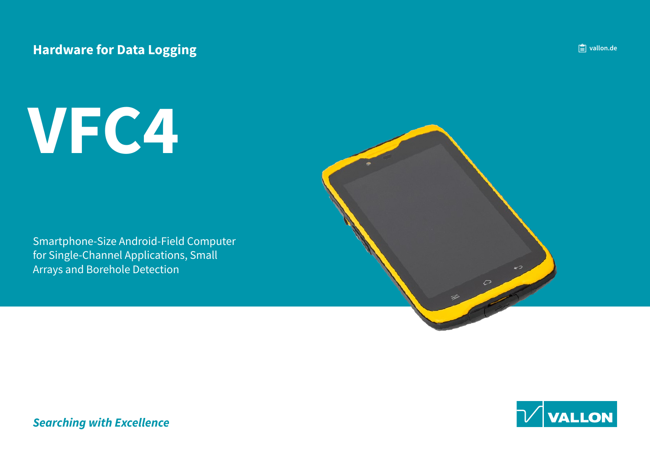### **Hardware for Data Logging**

# **4VFC**

Smartphone-Size Android-Field Computer for Single-Channel Applications, Small Arrays and Borehole Detection





**Searching with Excellence**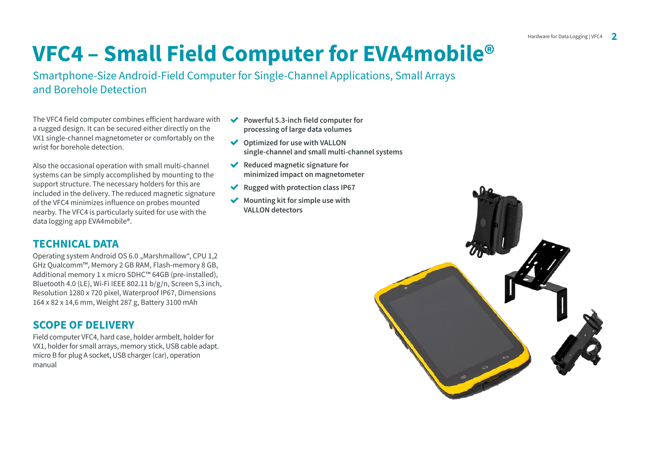## **VFC4 – Small Field Computer for EVA4mobile<sup>®</sup>**

Smartphone-Size Android-Field Computer for Single-Channel Applications, Small Arrays and Borehole Detection

The VFC4 field computer combines efficient hardware with a rugged design. It can be secured either directly on the VX1 single-channel magnetometer or comfortably on the wrist for borehole detection.

Also the occasional operation with small multi-channel systems can be simply accomplished by mounting to the support structure. The necessary holders for this are included in the delivery. The reduced magnetic signature of the VFC4 minimizes influence on probes mounted nearby. The VFC4 is particularly suited for use with the data logging app EVA 4mobile<sup>®</sup>.

#### **TECHNICAL DATA**

Operating system Android OS 6.0 "Marshmallow", CPU 1.2 GHz Oualcomm™, Memory 2 GB RAM, Flash-memory 8 GB, Additional memory 1 x micro SDHC™ 64GB (pre-installed). Bluetooth 4.0 (LE), Wi-Fi IEEE 802.11  $b/g/n$ , Screen 5,3 inch, Resolution 1280 x 720 pixel. Waterproof IP67, Dimensions 164 x 82 x 14,6 mm, Weight 287 g, Battery 3100 mAh

#### **SCOPE OF DELIVERY**

Field computer VFC4, hard case, holder armbelt, holder for VX1, holder for small arrays, memory stick. USB cable adapt. micro B for plug A socket. USB charger (car), operation manual

- ◆ Powerful 5.3-inch field computer for processing of large data volumes
- ◆ Optimized for use with VALLON single-channel and small multi-channel systems
- ◆ Reduced magnetic signature for minimized impact on magnetometer
- ◆ Rugged with protection class IP67
- Mounting kit for simple use with **VALLON** detectors